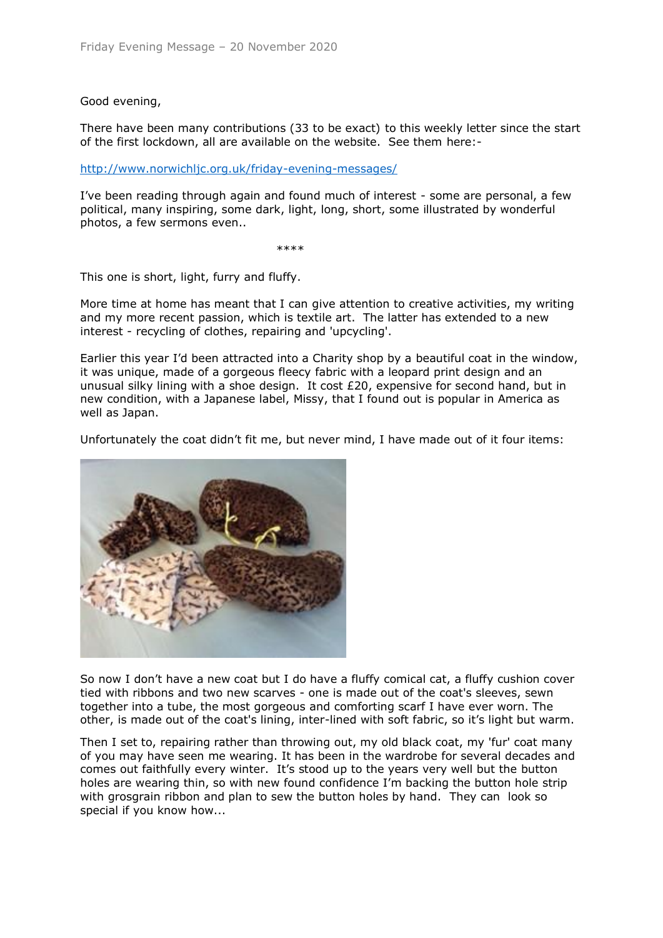## Good evening,

There have been many contributions (33 to be exact) to this weekly letter since the start of the first lockdown, all are available on the website. See them here:-

<http://www.norwichljc.org.uk/friday-evening-messages/>

I've been reading through again and found much of interest - some are personal, a few political, many inspiring, some dark, light, long, short, some illustrated by wonderful photos, a few sermons even..

\*\*\*\*\*

This one is short, light, furry and fluffy.

More time at home has meant that I can give attention to creative activities, my writing and my more recent passion, which is textile art. The latter has extended to a new interest - recycling of clothes, repairing and 'upcycling'.

Earlier this year I'd been attracted into a Charity shop by a beautiful coat in the window, it was unique, made of a gorgeous fleecy fabric with a leopard print design and an unusual silky lining with a shoe design. It cost  $£20$ , expensive for second hand, but in new condition, with a Japanese label, Missy, that I found out is popular in America as well as Japan.

Unfortunately the coat didn't fit me, but never mind, I have made out of it four items:



So now I don't have a new coat but I do have a fluffy comical cat, a fluffy cushion cover tied with ribbons and two new scarves - one is made out of the coat's sleeves, sewn together into a tube, the most gorgeous and comforting scarf I have ever worn. The other, is made out of the coat's lining, inter-lined with soft fabric, so it's light but warm.

Then I set to, repairing rather than throwing out, my old black coat, my 'fur' coat many of you may have seen me wearing. It has been in the wardrobe for several decades and comes out faithfully every winter. It's stood up to the years very well but the button holes are wearing thin, so with new found confidence I'm backing the button hole strip with grosgrain ribbon and plan to sew the button holes by hand. They can look so special if you know how...